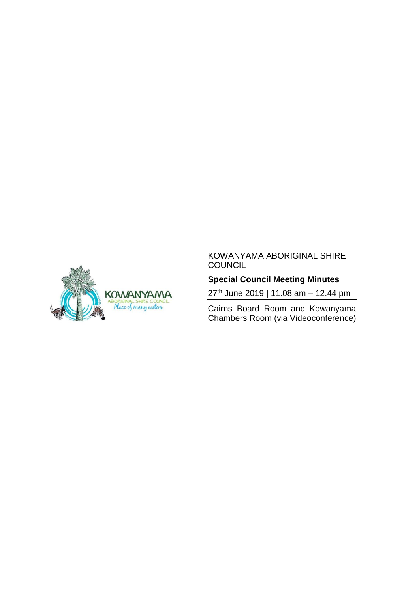

# **Special Council Meeting Minutes**

27<sup>th</sup> June 2019 | 11.08 am - 12.44 pm

Cairns Board Room and Kowanyama Chambers Room (via Videoconference)

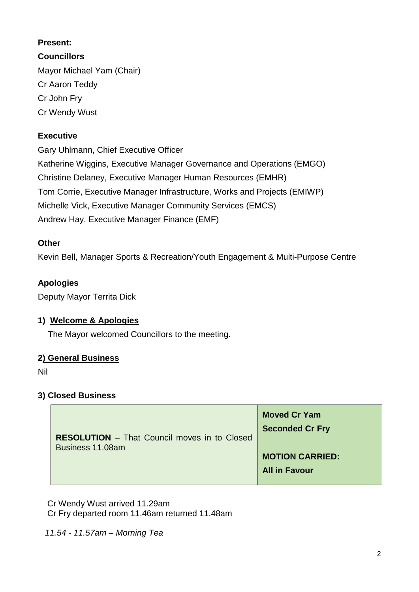### **Present:**

**Councillors** Mayor Michael Yam (Chair) Cr Aaron Teddy Cr John Fry Cr Wendy Wust

### **Executive**

Gary Uhlmann, Chief Executive Officer Katherine Wiggins, Executive Manager Governance and Operations (EMGO) Christine Delaney, Executive Manager Human Resources (EMHR) Tom Corrie, Executive Manager Infrastructure, Works and Projects (EMIWP) Michelle Vick, Executive Manager Community Services (EMCS) Andrew Hay, Executive Manager Finance (EMF)

#### **Other**

Kevin Bell, Manager Sports & Recreation/Youth Engagement & Multi-Purpose Centre

### **Apologies**

Deputy Mayor Territa Dick

#### **1) Welcome & Apologies**

The Mayor welcomed Councillors to the meeting.

#### **2) General Business**

Nil

#### **3) Closed Business**

| <b>RESOLUTION</b> – That Council moves in to Closed<br>Business 11.08am | <b>Moved Cr Yam</b><br><b>Seconded Cr Fry</b> |
|-------------------------------------------------------------------------|-----------------------------------------------|
|                                                                         | <b>MOTION CARRIED:</b>                        |
|                                                                         | <b>All in Favour</b>                          |

 Cr Wendy Wust arrived 11.29am Cr Fry departed room 11.46am returned 11.48am

 *11.54 - 11.57am – Morning Tea*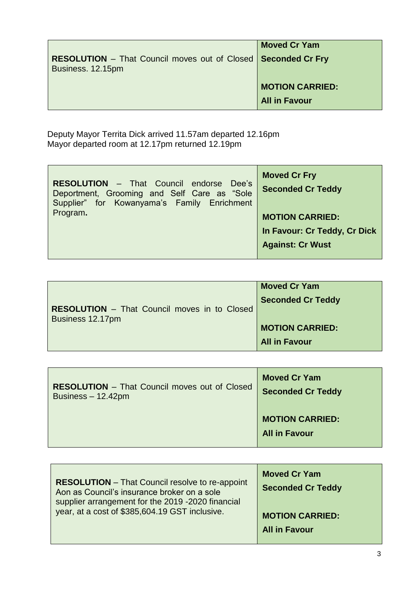| <b>RESOLUTION</b> – That Council moves out of Closed   Seconded Cr Fry<br>Business. 12.15pm | <b>Moved Cr Yam</b>                            |
|---------------------------------------------------------------------------------------------|------------------------------------------------|
|                                                                                             | <b>MOTION CARRIED:</b><br><b>All in Favour</b> |

 Deputy Mayor Territa Dick arrived 11.57am departed 12.16pm Mayor departed room at 12.17pm returned 12.19pm

| <b>RESOLUTION</b> - That Council endorse Dee's<br>Deportment, Grooming and Self Care as "Sole<br>Supplier" for Kowanyama's Family Enrichment | <b>Moved Cr Fry</b><br><b>Seconded Cr Teddy</b> |
|----------------------------------------------------------------------------------------------------------------------------------------------|-------------------------------------------------|
| Program.                                                                                                                                     | <b>MOTION CARRIED:</b>                          |
|                                                                                                                                              | In Favour: Cr Teddy, Cr Dick                    |
|                                                                                                                                              | <b>Against: Cr Wust</b>                         |

|                                                     | <b>Moved Cr Yam</b>      |
|-----------------------------------------------------|--------------------------|
| <b>RESOLUTION</b> – That Council moves in to Closed | <b>Seconded Cr Teddy</b> |
| Business 12.17pm                                    |                          |
|                                                     | <b>MOTION CARRIED:</b>   |
|                                                     | <b>All in Favour</b>     |

| <b>RESOLUTION</b> – That Council moves out of Closed | <b>Moved Cr Yam</b>                            |
|------------------------------------------------------|------------------------------------------------|
| Business $-12.42$ pm                                 | <b>Seconded Cr Teddy</b>                       |
|                                                      | <b>MOTION CARRIED:</b><br><b>All in Favour</b> |

| <b>RESOLUTION</b> – That Council resolve to re-appoint | <b>Moved Cr Yam</b>      |
|--------------------------------------------------------|--------------------------|
| Aon as Council's insurance broker on a sole            | <b>Seconded Cr Teddy</b> |
| supplier arrangement for the 2019 -2020 financial      | <b>MOTION CARRIED:</b>   |
| year, at a cost of \$385,604.19 GST inclusive.         | <b>All in Favour</b>     |